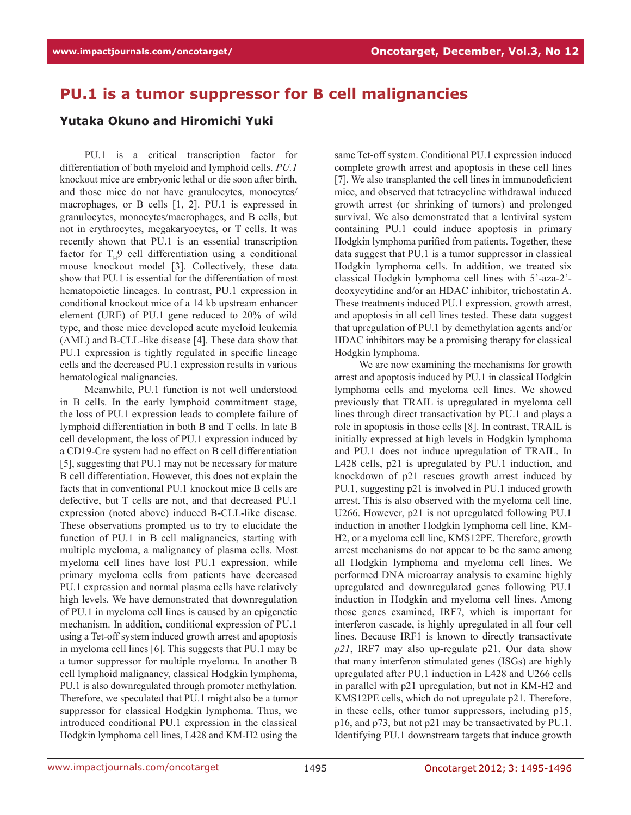## **PU.1 is a tumor suppressor for B cell malignancies**

## **Yutaka Okuno and Hiromichi Yuki**

PU.1 is a critical transcription factor for differentiation of both myeloid and lymphoid cells. *PU.1* knockout mice are embryonic lethal or die soon after birth, and those mice do not have granulocytes, monocytes/ macrophages, or B cells [1, 2]. PU.1 is expressed in granulocytes, monocytes/macrophages, and B cells, but not in erythrocytes, megakaryocytes, or T cells. It was recently shown that PU.1 is an essential transcription factor for  $T_H$ 9 cell differentiation using a conditional mouse knockout model [3]. Collectively, these data show that PU.1 is essential for the differentiation of most hematopoietic lineages. In contrast, PU.1 expression in conditional knockout mice of a 14 kb upstream enhancer element (URE) of PU.1 gene reduced to 20% of wild type, and those mice developed acute myeloid leukemia (AML) and B-CLL-like disease [4]. These data show that PU.1 expression is tightly regulated in specific lineage cells and the decreased PU.1 expression results in various hematological malignancies.

Meanwhile, PU.1 function is not well understood in B cells. In the early lymphoid commitment stage, the loss of PU.1 expression leads to complete failure of lymphoid differentiation in both B and T cells. In late B cell development, the loss of PU.1 expression induced by a CD19-Cre system had no effect on B cell differentiation [5], suggesting that PU.1 may not be necessary for mature B cell differentiation. However, this does not explain the facts that in conventional PU.1 knockout mice B cells are defective, but T cells are not, and that decreased PU.1 expression (noted above) induced B-CLL-like disease. These observations prompted us to try to elucidate the function of PU.1 in B cell malignancies, starting with multiple myeloma, a malignancy of plasma cells. Most myeloma cell lines have lost PU.1 expression, while primary myeloma cells from patients have decreased PU.1 expression and normal plasma cells have relatively high levels. We have demonstrated that downregulation of PU.1 in myeloma cell lines is caused by an epigenetic mechanism. In addition, conditional expression of PU.1 using a Tet-off system induced growth arrest and apoptosis in myeloma cell lines [6]. This suggests that PU.1 may be a tumor suppressor for multiple myeloma. In another B cell lymphoid malignancy, classical Hodgkin lymphoma, PU.1 is also downregulated through promoter methylation. Therefore, we speculated that PU.1 might also be a tumor suppressor for classical Hodgkin lymphoma. Thus, we introduced conditional PU.1 expression in the classical Hodgkin lymphoma cell lines, L428 and KM-H2 using the same Tet-off system. Conditional PU.1 expression induced complete growth arrest and apoptosis in these cell lines [7]. We also transplanted the cell lines in immunodeficient mice, and observed that tetracycline withdrawal induced growth arrest (or shrinking of tumors) and prolonged survival. We also demonstrated that a lentiviral system containing PU.1 could induce apoptosis in primary Hodgkin lymphoma purified from patients. Together, these data suggest that PU.1 is a tumor suppressor in classical Hodgkin lymphoma cells. In addition, we treated six classical Hodgkin lymphoma cell lines with 5'-aza-2' deoxycytidine and/or an HDAC inhibitor, trichostatin A. These treatments induced PU.1 expression, growth arrest, and apoptosis in all cell lines tested. These data suggest that upregulation of PU.1 by demethylation agents and/or HDAC inhibitors may be a promising therapy for classical Hodgkin lymphoma.

We are now examining the mechanisms for growth arrest and apoptosis induced by PU.1 in classical Hodgkin lymphoma cells and myeloma cell lines. We showed previously that TRAIL is upregulated in myeloma cell lines through direct transactivation by PU.1 and plays a role in apoptosis in those cells [8]. In contrast, TRAIL is initially expressed at high levels in Hodgkin lymphoma and PU.1 does not induce upregulation of TRAIL. In L428 cells, p21 is upregulated by PU.1 induction, and knockdown of p21 rescues growth arrest induced by PU.1, suggesting p21 is involved in PU.1 induced growth arrest. This is also observed with the myeloma cell line, U266. However, p21 is not upregulated following PU.1 induction in another Hodgkin lymphoma cell line, KM-H2, or a myeloma cell line, KMS12PE. Therefore, growth arrest mechanisms do not appear to be the same among all Hodgkin lymphoma and myeloma cell lines. We performed DNA microarray analysis to examine highly upregulated and downregulated genes following PU.1 induction in Hodgkin and myeloma cell lines. Among those genes examined, IRF7, which is important for interferon cascade, is highly upregulated in all four cell lines. Because IRF1 is known to directly transactivate *p21*, IRF7 may also up-regulate p21. Our data show that many interferon stimulated genes (ISGs) are highly upregulated after PU.1 induction in L428 and U266 cells in parallel with p21 upregulation, but not in KM-H2 and KMS12PE cells, which do not upregulate p21. Therefore, in these cells, other tumor suppressors, including p15, p16, and p73, but not p21 may be transactivated by PU.1. Identifying PU.1 downstream targets that induce growth